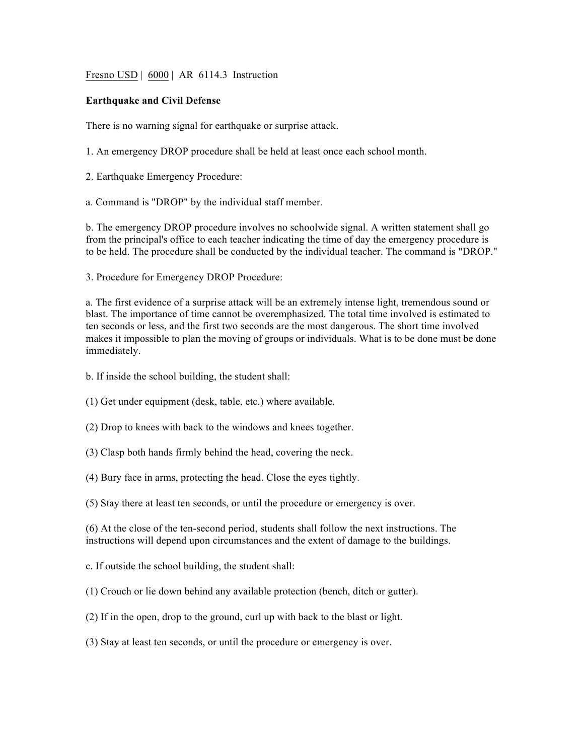Fresno USD | 6000 | AR 6114.3 Instruction

## **Earthquake and Civil Defense**

There is no warning signal for earthquake or surprise attack.

1. An emergency DROP procedure shall be held at least once each school month.

- 2. Earthquake Emergency Procedure:
- a. Command is "DROP" by the individual staff member.

b. The emergency DROP procedure involves no schoolwide signal. A written statement shall go from the principal's office to each teacher indicating the time of day the emergency procedure is to be held. The procedure shall be conducted by the individual teacher. The command is "DROP."

3. Procedure for Emergency DROP Procedure:

a. The first evidence of a surprise attack will be an extremely intense light, tremendous sound or blast. The importance of time cannot be overemphasized. The total time involved is estimated to ten seconds or less, and the first two seconds are the most dangerous. The short time involved makes it impossible to plan the moving of groups or individuals. What is to be done must be done immediately.

b. If inside the school building, the student shall:

- (1) Get under equipment (desk, table, etc.) where available.
- (2) Drop to knees with back to the windows and knees together.
- (3) Clasp both hands firmly behind the head, covering the neck.
- (4) Bury face in arms, protecting the head. Close the eyes tightly.
- (5) Stay there at least ten seconds, or until the procedure or emergency is over.

(6) At the close of the ten-second period, students shall follow the next instructions. The instructions will depend upon circumstances and the extent of damage to the buildings.

- c. If outside the school building, the student shall:
- (1) Crouch or lie down behind any available protection (bench, ditch or gutter).
- (2) If in the open, drop to the ground, curl up with back to the blast or light.
- (3) Stay at least ten seconds, or until the procedure or emergency is over.